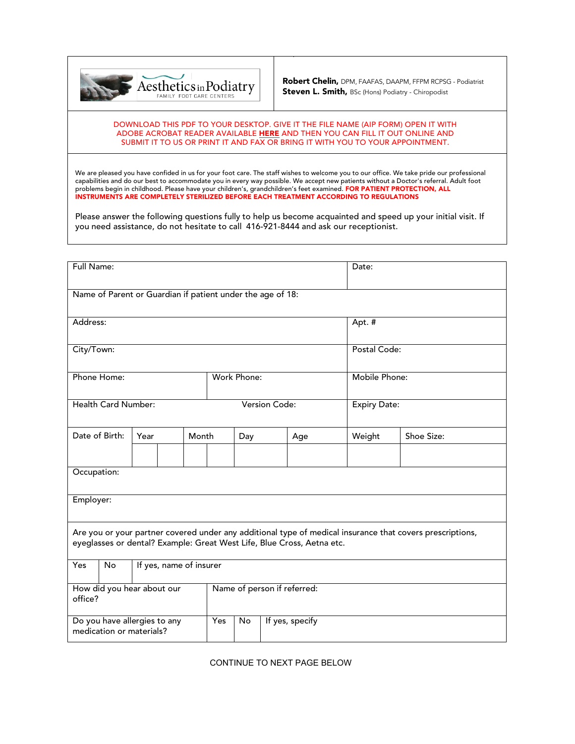

Robert Chelin, DPM, FAAFAS, DAAPM, FFPM RCPSG - Podiatrist Steven L. Smith, BSc (Hons) Podiatry - Chiropodist

## DOWNLOAD THIS PDF TO YOUR DESKTOP. GIVE IT THE FILE NAME (AIP FORM) OPEN IT WITH [ADOBE ACROBAT READER](https://get.adobe.com/reader/?promoid=KSWLH) AVAILABLE [HERE](https://get.adobe.com/reader/?promoid=KSWLH) AND THEN YOU CAN FILL IT OUT ONLINE AND SUBMIT IT TO US OR PRINT IT AND FAX OR BRING IT WITH YOU TO YOUR APPOINTMENT.

We are pleased you have confided in us for your foot care. The staff wishes to welcome you to our office. We take pride our professional capabilities and do our best to accommodate you in every way possible. We accept new patients without a Doctor's referral. Adult foot problems begin in childhood. Please have your children's, grandchildren's feet examined. FOR PATIENT PROTECTION, ALL INSTRUMENTS ARE COMPLETELY STERILIZED BEFORE EACH TREATMENT ACCORDING TO REGULATIONS

Please answer the following questions fully to help us become acquainted and speed up your initial visit. If you need assistance, do not hesitate to call 416-921-8444 and ask our receptionist.

| Full Name:                                                                                                                                                                          |                |                         |  |       |                             |     |                 |     |  | Date:               |            |  |  |
|-------------------------------------------------------------------------------------------------------------------------------------------------------------------------------------|----------------|-------------------------|--|-------|-----------------------------|-----|-----------------|-----|--|---------------------|------------|--|--|
| Name of Parent or Guardian if patient under the age of 18:                                                                                                                          |                |                         |  |       |                             |     |                 |     |  |                     |            |  |  |
| Address:                                                                                                                                                                            |                |                         |  |       |                             |     |                 |     |  | Apt. #              |            |  |  |
| City/Town:                                                                                                                                                                          |                |                         |  |       |                             |     |                 |     |  | Postal Code:        |            |  |  |
| Phone Home:                                                                                                                                                                         |                |                         |  |       | Work Phone:                 |     |                 |     |  | Mobile Phone:       |            |  |  |
| Health Card Number:                                                                                                                                                                 |                |                         |  |       | Version Code:               |     |                 |     |  | <b>Expiry Date:</b> |            |  |  |
|                                                                                                                                                                                     | Date of Birth: | Year                    |  | Month |                             | Day |                 | Age |  | Weight              | Shoe Size: |  |  |
|                                                                                                                                                                                     |                |                         |  |       |                             |     |                 |     |  |                     |            |  |  |
| Occupation:                                                                                                                                                                         |                |                         |  |       |                             |     |                 |     |  |                     |            |  |  |
| Employer:                                                                                                                                                                           |                |                         |  |       |                             |     |                 |     |  |                     |            |  |  |
| Are you or your partner covered under any additional type of medical insurance that covers prescriptions,<br>eyeglasses or dental? Example: Great West Life, Blue Cross, Aetna etc. |                |                         |  |       |                             |     |                 |     |  |                     |            |  |  |
| <b>Yes</b>                                                                                                                                                                          | No             | If yes, name of insurer |  |       |                             |     |                 |     |  |                     |            |  |  |
| How did you hear about our<br>office?                                                                                                                                               |                |                         |  |       | Name of person if referred: |     |                 |     |  |                     |            |  |  |
| Do you have allergies to any<br>medication or materials?                                                                                                                            |                |                         |  |       | Yes                         | No  | If yes, specify |     |  |                     |            |  |  |

CONTINUE TO NEXT PAGE BELOW